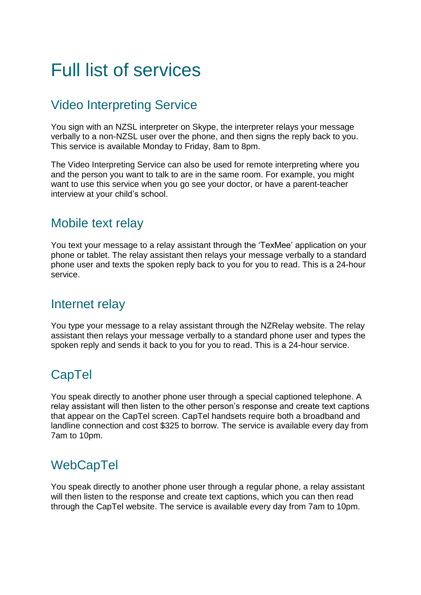# Full list of services

## Video Interpreting Service

You sign with an NZSL interpreter on Skype, the interpreter relays your message verbally to a non-NZSL user over the phone, and then signs the reply back to you. This service is available Monday to Friday, 8am to 8pm.

The Video Interpreting Service can also be used for remote interpreting where you and the person you want to talk to are in the same room. For example, you might want to use this service when you go see your doctor, or have a parent-teacher interview at your child's school.

#### Mobile text relay

You text your message to a relay assistant through the 'TexMee' application on your phone or tablet. The relay assistant then relays your message verbally to a standard phone user and texts the spoken reply back to you for you to read. This is a 24-hour service.

#### Internet relay

You type your message to a relay assistant through the NZRelay website. The relay assistant then relays your message verbally to a standard phone user and types the spoken reply and sends it back to you for you to read. This is a 24-hour service.

## **CapTel**

You speak directly to another phone user through a special captioned telephone. A relay assistant will then listen to the other person's response and create text captions that appear on the CapTel screen. CapTel handsets require both a broadband and landline connection and cost \$325 to borrow. The service is available every day from 7am to 10pm.

#### **WebCapTel**

You speak directly to another phone user through a regular phone, a relay assistant will then listen to the response and create text captions, which you can then read through the CapTel website. The service is available every day from 7am to 10pm.